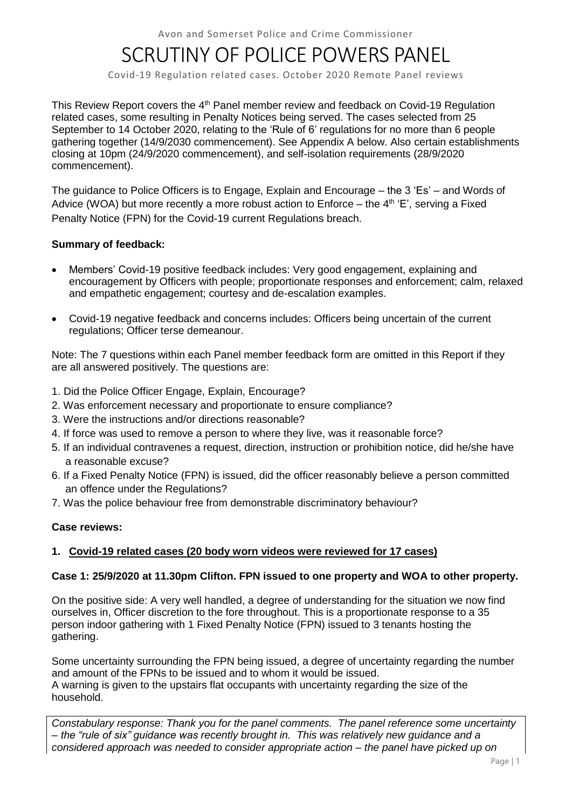Avon and Somerset Police and Crime Commissioner

# SCRUTINY OF POLICE POWERS PANEL

Covid-19 Regulation related cases. October 2020 Remote Panel reviews

This Review Report covers the 4<sup>th</sup> Panel member review and feedback on Covid-19 Regulation related cases, some resulting in Penalty Notices being served. The cases selected from 25 September to 14 October 2020, relating to the 'Rule of 6' regulations for no more than 6 people gathering together (14/9/2030 commencement). See Appendix A below. Also certain establishments closing at 10pm (24/9/2020 commencement), and self-isolation requirements (28/9/2020 commencement).

The guidance to Police Officers is to Engage, Explain and Encourage – the 3 'Es' – and Words of Advice (WOA) but more recently a more robust action to Enforce – the  $4<sup>th</sup>$  'E', serving a Fixed Penalty Notice (FPN) for the Covid-19 current Regulations breach.

# **Summary of feedback:**

- Members' Covid-19 positive feedback includes: Very good engagement, explaining and encouragement by Officers with people; proportionate responses and enforcement; calm, relaxed and empathetic engagement; courtesy and de-escalation examples.
- Covid-19 negative feedback and concerns includes: Officers being uncertain of the current regulations; Officer terse demeanour.

Note: The 7 questions within each Panel member feedback form are omitted in this Report if they are all answered positively. The questions are:

- 1. Did the Police Officer Engage, Explain, Encourage?
- 2. Was enforcement necessary and proportionate to ensure compliance?
- 3. Were the instructions and/or directions reasonable?
- 4. If force was used to remove a person to where they live, was it reasonable force?
- 5. If an individual contravenes a request, direction, instruction or prohibition notice, did he/she have a reasonable excuse?
- 6. If a Fixed Penalty Notice (FPN) is issued, did the officer reasonably believe a person committed an offence under the Regulations?
- 7. Was the police behaviour free from demonstrable discriminatory behaviour?

# **Case reviews:**

# **1. Covid-19 related cases (20 body worn videos were reviewed for 17 cases)**

#### **Case 1: 25/9/2020 at 11.30pm Clifton. FPN issued to one property and WOA to other property.**

On the positive side: A very well handled, a degree of understanding for the situation we now find ourselves in, Officer discretion to the fore throughout. This is a proportionate response to a 35 person indoor gathering with 1 Fixed Penalty Notice (FPN) issued to 3 tenants hosting the gathering.

Some uncertainty surrounding the FPN being issued, a degree of uncertainty regarding the number and amount of the FPNs to be issued and to whom it would be issued. A warning is given to the upstairs flat occupants with uncertainty regarding the size of the household.

*Constabulary response: Thank you for the panel comments. The panel reference some uncertainty – the "rule of six" guidance was recently brought in. This was relatively new guidance and a considered approach was needed to consider appropriate action – the panel have picked up on*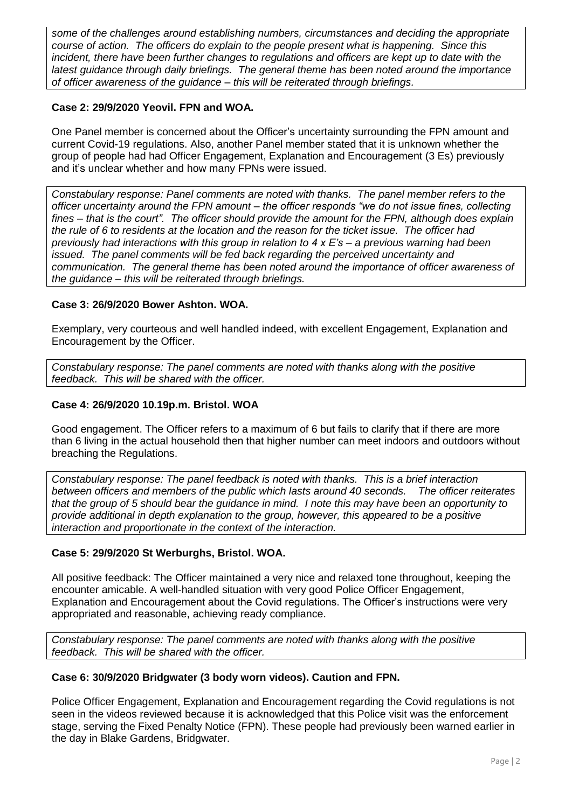*some of the challenges around establishing numbers, circumstances and deciding the appropriate course of action. The officers do explain to the people present what is happening. Since this incident, there have been further changes to regulations and officers are kept up to date with the latest guidance through daily briefings. The general theme has been noted around the importance of officer awareness of the guidance – this will be reiterated through briefings.*

# **Case 2: 29/9/2020 Yeovil. FPN and WOA.**

One Panel member is concerned about the Officer's uncertainty surrounding the FPN amount and current Covid-19 regulations. Also, another Panel member stated that it is unknown whether the group of people had had Officer Engagement, Explanation and Encouragement (3 Es) previously and it's unclear whether and how many FPNs were issued.

*Constabulary response: Panel comments are noted with thanks. The panel member refers to the officer uncertainty around the FPN amount – the officer responds "we do not issue fines, collecting fines – that is the court". The officer should provide the amount for the FPN, although does explain the rule of 6 to residents at the location and the reason for the ticket issue. The officer had previously had interactions with this group in relation to 4 x E's – a previous warning had been issued. The panel comments will be fed back regarding the perceived uncertainty and communication. The general theme has been noted around the importance of officer awareness of the guidance – this will be reiterated through briefings.*

# **Case 3: 26/9/2020 Bower Ashton. WOA.**

Exemplary, very courteous and well handled indeed, with excellent Engagement, Explanation and Encouragement by the Officer.

*Constabulary response: The panel comments are noted with thanks along with the positive feedback. This will be shared with the officer.*

# **Case 4: 26/9/2020 10.19p.m. Bristol. WOA**

Good engagement. The Officer refers to a maximum of 6 but fails to clarify that if there are more than 6 living in the actual household then that higher number can meet indoors and outdoors without breaching the Regulations.

*Constabulary response: The panel feedback is noted with thanks. This is a brief interaction between officers and members of the public which lasts around 40 seconds. The officer reiterates that the group of 5 should bear the guidance in mind. I note this may have been an opportunity to provide additional in depth explanation to the group, however, this appeared to be a positive interaction and proportionate in the context of the interaction.*

# **Case 5: 29/9/2020 St Werburghs, Bristol. WOA.**

All positive feedback: The Officer maintained a very nice and relaxed tone throughout, keeping the encounter amicable. A well-handled situation with very good Police Officer Engagement, Explanation and Encouragement about the Covid regulations. The Officer's instructions were very appropriated and reasonable, achieving ready compliance.

*Constabulary response: The panel comments are noted with thanks along with the positive feedback. This will be shared with the officer.*

# **Case 6: 30/9/2020 Bridgwater (3 body worn videos). Caution and FPN.**

Police Officer Engagement, Explanation and Encouragement regarding the Covid regulations is not seen in the videos reviewed because it is acknowledged that this Police visit was the enforcement stage, serving the Fixed Penalty Notice (FPN). These people had previously been warned earlier in the day in Blake Gardens, Bridgwater.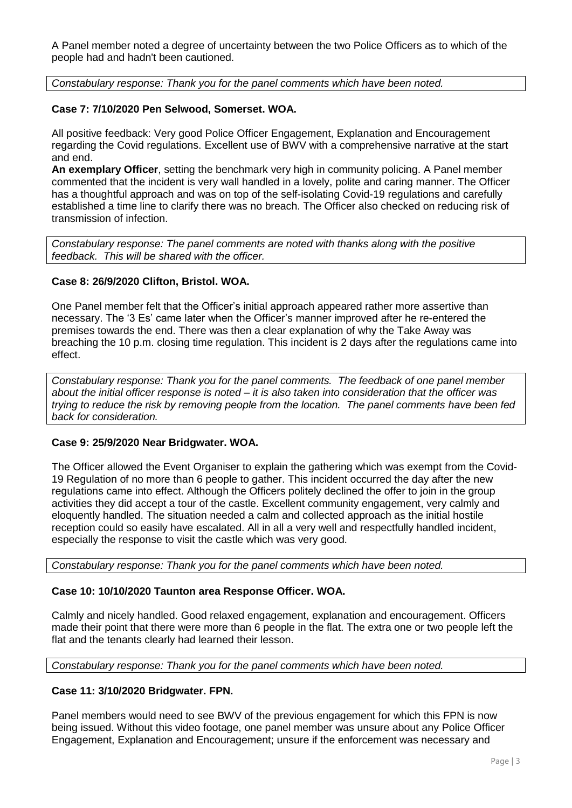A Panel member noted a degree of uncertainty between the two Police Officers as to which of the people had and hadn't been cautioned.

*Constabulary response: Thank you for the panel comments which have been noted.*

# **Case 7: 7/10/2020 Pen Selwood, Somerset. WOA.**

All positive feedback: Very good Police Officer Engagement, Explanation and Encouragement regarding the Covid regulations. Excellent use of BWV with a comprehensive narrative at the start and end.

**An exemplary Officer**, setting the benchmark very high in community policing. A Panel member commented that the incident is very wall handled in a lovely, polite and caring manner. The Officer has a thoughtful approach and was on top of the self-isolating Covid-19 regulations and carefully established a time line to clarify there was no breach. The Officer also checked on reducing risk of transmission of infection.

*Constabulary response: The panel comments are noted with thanks along with the positive feedback. This will be shared with the officer.*

## **Case 8: 26/9/2020 Clifton, Bristol. WOA.**

One Panel member felt that the Officer's initial approach appeared rather more assertive than necessary. The '3 Es' came later when the Officer's manner improved after he re-entered the premises towards the end. There was then a clear explanation of why the Take Away was breaching the 10 p.m. closing time regulation. This incident is 2 days after the regulations came into effect.

*Constabulary response: Thank you for the panel comments. The feedback of one panel member about the initial officer response is noted – it is also taken into consideration that the officer was trying to reduce the risk by removing people from the location. The panel comments have been fed back for consideration.*

#### **Case 9: 25/9/2020 Near Bridgwater. WOA.**

The Officer allowed the Event Organiser to explain the gathering which was exempt from the Covid-19 Regulation of no more than 6 people to gather. This incident occurred the day after the new regulations came into effect. Although the Officers politely declined the offer to join in the group activities they did accept a tour of the castle. Excellent community engagement, very calmly and eloquently handled. The situation needed a calm and collected approach as the initial hostile reception could so easily have escalated. All in all a very well and respectfully handled incident, especially the response to visit the castle which was very good.

*Constabulary response: Thank you for the panel comments which have been noted.*

# **Case 10: 10/10/2020 Taunton area Response Officer. WOA.**

Calmly and nicely handled. Good relaxed engagement, explanation and encouragement. Officers made their point that there were more than 6 people in the flat. The extra one or two people left the flat and the tenants clearly had learned their lesson.

*Constabulary response: Thank you for the panel comments which have been noted.*

# **Case 11: 3/10/2020 Bridgwater. FPN.**

Panel members would need to see BWV of the previous engagement for which this FPN is now being issued. Without this video footage, one panel member was unsure about any Police Officer Engagement, Explanation and Encouragement; unsure if the enforcement was necessary and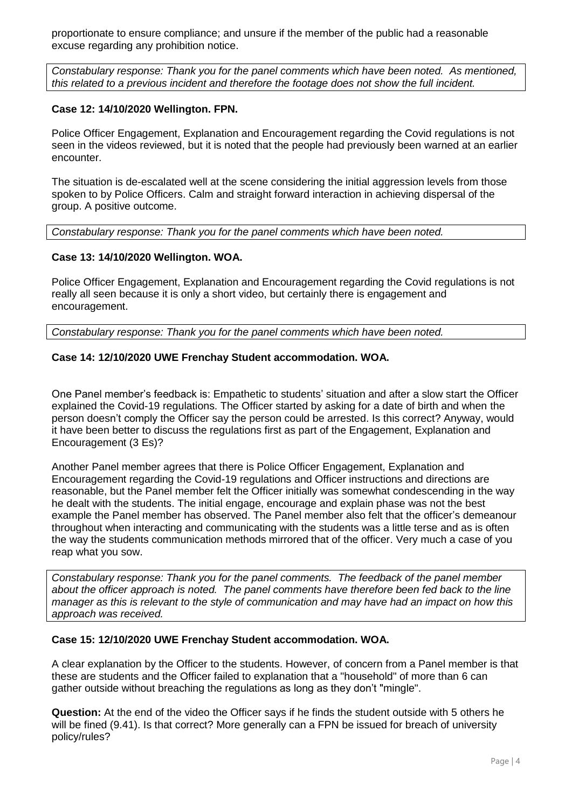proportionate to ensure compliance; and unsure if the member of the public had a reasonable excuse regarding any prohibition notice.

*Constabulary response: Thank you for the panel comments which have been noted. As mentioned, this related to a previous incident and therefore the footage does not show the full incident.*

# **Case 12: 14/10/2020 Wellington. FPN.**

Police Officer Engagement, Explanation and Encouragement regarding the Covid regulations is not seen in the videos reviewed, but it is noted that the people had previously been warned at an earlier encounter.

The situation is de-escalated well at the scene considering the initial aggression levels from those spoken to by Police Officers. Calm and straight forward interaction in achieving dispersal of the group. A positive outcome.

*Constabulary response: Thank you for the panel comments which have been noted.* 

# **Case 13: 14/10/2020 Wellington. WOA.**

Police Officer Engagement, Explanation and Encouragement regarding the Covid regulations is not really all seen because it is only a short video, but certainly there is engagement and encouragement.

*Constabulary response: Thank you for the panel comments which have been noted.* 

# **Case 14: 12/10/2020 UWE Frenchay Student accommodation. WOA.**

One Panel member's feedback is: Empathetic to students' situation and after a slow start the Officer explained the Covid-19 regulations. The Officer started by asking for a date of birth and when the person doesn't comply the Officer say the person could be arrested. Is this correct? Anyway, would it have been better to discuss the regulations first as part of the Engagement, Explanation and Encouragement (3 Es)?

Another Panel member agrees that there is Police Officer Engagement, Explanation and Encouragement regarding the Covid-19 regulations and Officer instructions and directions are reasonable, but the Panel member felt the Officer initially was somewhat condescending in the way he dealt with the students. The initial engage, encourage and explain phase was not the best example the Panel member has observed. The Panel member also felt that the officer's demeanour throughout when interacting and communicating with the students was a little terse and as is often the way the students communication methods mirrored that of the officer. Very much a case of you reap what you sow.

*Constabulary response: Thank you for the panel comments. The feedback of the panel member about the officer approach is noted. The panel comments have therefore been fed back to the line manager as this is relevant to the style of communication and may have had an impact on how this approach was received.* 

#### **Case 15: 12/10/2020 UWE Frenchay Student accommodation. WOA.**

A clear explanation by the Officer to the students. However, of concern from a Panel member is that these are students and the Officer failed to explanation that a "household" of more than 6 can gather outside without breaching the regulations as long as they don't "mingle".

**Question:** At the end of the video the Officer says if he finds the student outside with 5 others he will be fined (9.41). Is that correct? More generally can a FPN be issued for breach of university policy/rules?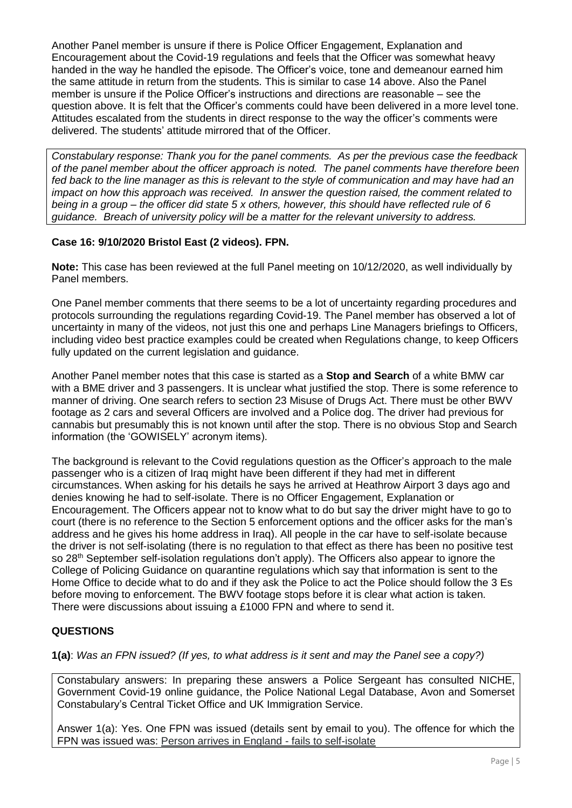Another Panel member is unsure if there is Police Officer Engagement, Explanation and Encouragement about the Covid-19 regulations and feels that the Officer was somewhat heavy handed in the way he handled the episode. The Officer's voice, tone and demeanour earned him the same attitude in return from the students. This is similar to case 14 above. Also the Panel member is unsure if the Police Officer's instructions and directions are reasonable – see the question above. It is felt that the Officer's comments could have been delivered in a more level tone. Attitudes escalated from the students in direct response to the way the officer's comments were delivered. The students' attitude mirrored that of the Officer.

*Constabulary response: Thank you for the panel comments. As per the previous case the feedback of the panel member about the officer approach is noted. The panel comments have therefore been fed back to the line manager as this is relevant to the style of communication and may have had an impact on how this approach was received. In answer the question raised, the comment related to being in a group – the officer did state 5 x others, however, this should have reflected rule of 6 guidance. Breach of university policy will be a matter for the relevant university to address.*

# **Case 16: 9/10/2020 Bristol East (2 videos). FPN.**

**Note:** This case has been reviewed at the full Panel meeting on 10/12/2020, as well individually by Panel members.

One Panel member comments that there seems to be a lot of uncertainty regarding procedures and protocols surrounding the regulations regarding Covid-19. The Panel member has observed a lot of uncertainty in many of the videos, not just this one and perhaps Line Managers briefings to Officers, including video best practice examples could be created when Regulations change, to keep Officers fully updated on the current legislation and guidance.

Another Panel member notes that this case is started as a **Stop and Search** of a white BMW car with a BME driver and 3 passengers. It is unclear what justified the stop. There is some reference to manner of driving. One search refers to section 23 Misuse of Drugs Act. There must be other BWV footage as 2 cars and several Officers are involved and a Police dog. The driver had previous for cannabis but presumably this is not known until after the stop. There is no obvious Stop and Search information (the 'GOWISELY' acronym items).

The background is relevant to the Covid regulations question as the Officer's approach to the male passenger who is a citizen of Iraq might have been different if they had met in different circumstances. When asking for his details he says he arrived at Heathrow Airport 3 days ago and denies knowing he had to self-isolate. There is no Officer Engagement, Explanation or Encouragement. The Officers appear not to know what to do but say the driver might have to go to court (there is no reference to the Section 5 enforcement options and the officer asks for the man's address and he gives his home address in Iraq). All people in the car have to self-isolate because the driver is not self-isolating (there is no regulation to that effect as there has been no positive test so 28<sup>th</sup> September self-isolation regulations don't apply). The Officers also appear to ignore the College of Policing Guidance on quarantine regulations which say that information is sent to the Home Office to decide what to do and if they ask the Police to act the Police should follow the 3 Es before moving to enforcement. The BWV footage stops before it is clear what action is taken. There were discussions about issuing a £1000 FPN and where to send it.

# **QUESTIONS**

**1(a)**: *Was an FPN issued? (If yes, to what address is it sent and may the Panel see a copy?)*

Constabulary answers: In preparing these answers a Police Sergeant has consulted NICHE, Government Covid-19 online guidance, the Police National Legal Database, Avon and Somerset Constabulary's Central Ticket Office and UK Immigration Service.

Answer 1(a): Yes. One FPN was issued (details sent by email to you). The offence for which the FPN was issued was: Person arrives in England - fails to self-isolate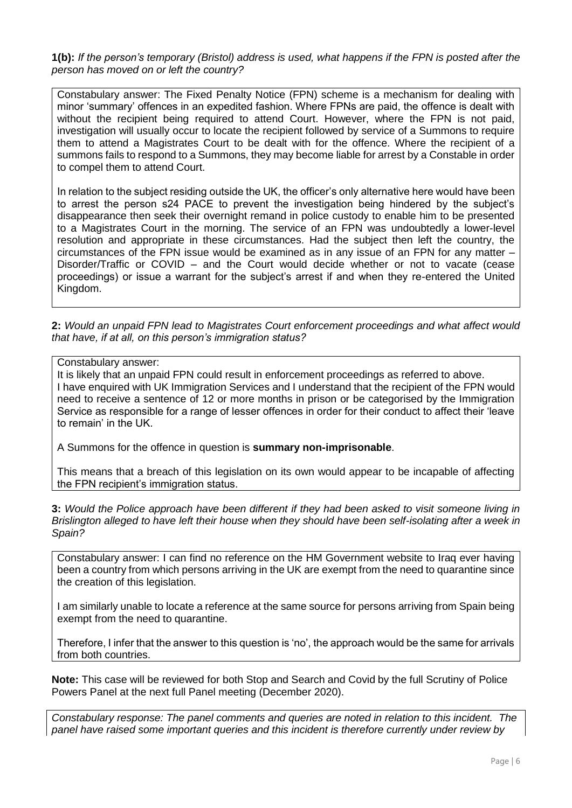**1(b):** *If the person's temporary (Bristol) address is used, what happens if the FPN is posted after the person has moved on or left the country?*

Constabulary answer: The Fixed Penalty Notice (FPN) scheme is a mechanism for dealing with minor 'summary' offences in an expedited fashion. Where FPNs are paid, the offence is dealt with without the recipient being required to attend Court. However, where the FPN is not paid, investigation will usually occur to locate the recipient followed by service of a Summons to require them to attend a Magistrates Court to be dealt with for the offence. Where the recipient of a summons fails to respond to a Summons, they may become liable for arrest by a Constable in order to compel them to attend Court.

In relation to the subject residing outside the UK, the officer's only alternative here would have been to arrest the person s24 PACE to prevent the investigation being hindered by the subject's disappearance then seek their overnight remand in police custody to enable him to be presented to a Magistrates Court in the morning. The service of an FPN was undoubtedly a lower-level resolution and appropriate in these circumstances. Had the subject then left the country, the circumstances of the FPN issue would be examined as in any issue of an FPN for any matter – Disorder/Traffic or COVID – and the Court would decide whether or not to vacate (cease proceedings) or issue a warrant for the subject's arrest if and when they re-entered the United Kingdom.

**2:** *Would an unpaid FPN lead to Magistrates Court enforcement proceedings and what affect would that have, if at all, on this person's immigration status?*

Constabulary answer:

It is likely that an unpaid FPN could result in enforcement proceedings as referred to above. I have enquired with UK Immigration Services and I understand that the recipient of the FPN would need to receive a sentence of 12 or more months in prison or be categorised by the Immigration Service as responsible for a range of lesser offences in order for their conduct to affect their 'leave to remain' in the UK.

A Summons for the offence in question is **summary non-imprisonable**.

This means that a breach of this legislation on its own would appear to be incapable of affecting the FPN recipient's immigration status.

**3:** *Would the Police approach have been different if they had been asked to visit someone living in Brislington alleged to have left their house when they should have been self-isolating after a week in Spain?*

Constabulary answer: I can find no reference on the HM Government website to Iraq ever having been a country from which persons arriving in the UK are exempt from the need to quarantine since the creation of this legislation.

I am similarly unable to locate a reference at the same source for persons arriving from Spain being exempt from the need to quarantine.

Therefore, I infer that the answer to this question is 'no', the approach would be the same for arrivals from both countries.

**Note:** This case will be reviewed for both Stop and Search and Covid by the full Scrutiny of Police Powers Panel at the next full Panel meeting (December 2020).

*Constabulary response: The panel comments and queries are noted in relation to this incident. The panel have raised some important queries and this incident is therefore currently under review by*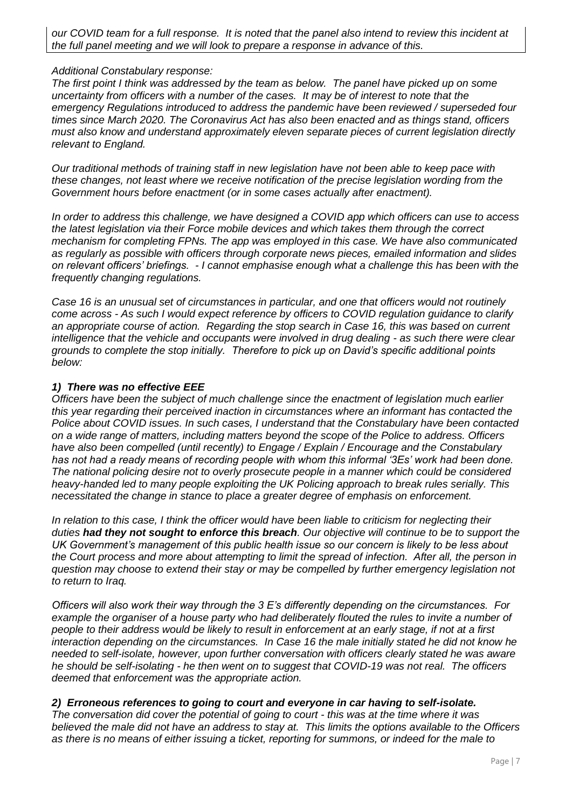# *Additional Constabulary response:*

*The first point I think was addressed by the team as below. The panel have picked up on some uncertainty from officers with a number of the cases. It may be of interest to note that the emergency Regulations introduced to address the pandemic have been reviewed / superseded four times since March 2020. The Coronavirus Act has also been enacted and as things stand, officers must also know and understand approximately eleven separate pieces of current legislation directly relevant to England.* 

*Our traditional methods of training staff in new legislation have not been able to keep pace with these changes, not least where we receive notification of the precise legislation wording from the Government hours before enactment (or in some cases actually after enactment).* 

*In order to address this challenge, we have designed a COVID app which officers can use to access the latest legislation via their Force mobile devices and which takes them through the correct mechanism for completing FPNs. The app was employed in this case. We have also communicated as regularly as possible with officers through corporate news pieces, emailed information and slides on relevant officers' briefings. - I cannot emphasise enough what a challenge this has been with the frequently changing regulations.*

*Case 16 is an unusual set of circumstances in particular, and one that officers would not routinely come across - As such I would expect reference by officers to COVID regulation guidance to clarify an appropriate course of action. Regarding the stop search in Case 16, this was based on current intelligence that the vehicle and occupants were involved in drug dealing - as such there were clear grounds to complete the stop initially. Therefore to pick up on David's specific additional points below:*

# *1) There was no effective EEE*

*Officers have been the subject of much challenge since the enactment of legislation much earlier this year regarding their perceived inaction in circumstances where an informant has contacted the Police about COVID issues. In such cases, I understand that the Constabulary have been contacted on a wide range of matters, including matters beyond the scope of the Police to address. Officers have also been compelled (until recently) to Engage / Explain / Encourage and the Constabulary has not had a ready means of recording people with whom this informal '3Es' work had been done. The national policing desire not to overly prosecute people in a manner which could be considered heavy-handed led to many people exploiting the UK Policing approach to break rules serially. This necessitated the change in stance to place a greater degree of emphasis on enforcement.* 

*In relation to this case, I think the officer would have been liable to criticism for neglecting their duties had they not sought to enforce this breach. Our objective will continue to be to support the UK Government's management of this public health issue so our concern is likely to be less about the Court process and more about attempting to limit the spread of infection. After all, the person in question may choose to extend their stay or may be compelled by further emergency legislation not to return to Iraq.* 

*Officers will also work their way through the 3 E's differently depending on the circumstances. For example the organiser of a house party who had deliberately flouted the rules to invite a number of people to their address would be likely to result in enforcement at an early stage, if not at a first interaction depending on the circumstances. In Case 16 the male initially stated he did not know he needed to self-isolate, however, upon further conversation with officers clearly stated he was aware he should be self-isolating - he then went on to suggest that COVID-19 was not real. The officers deemed that enforcement was the appropriate action.*

# *2) Erroneous references to going to court and everyone in car having to self-isolate.*

*The conversation did cover the potential of going to court - this was at the time where it was believed the male did not have an address to stay at. This limits the options available to the Officers as there is no means of either issuing a ticket, reporting for summons, or indeed for the male to*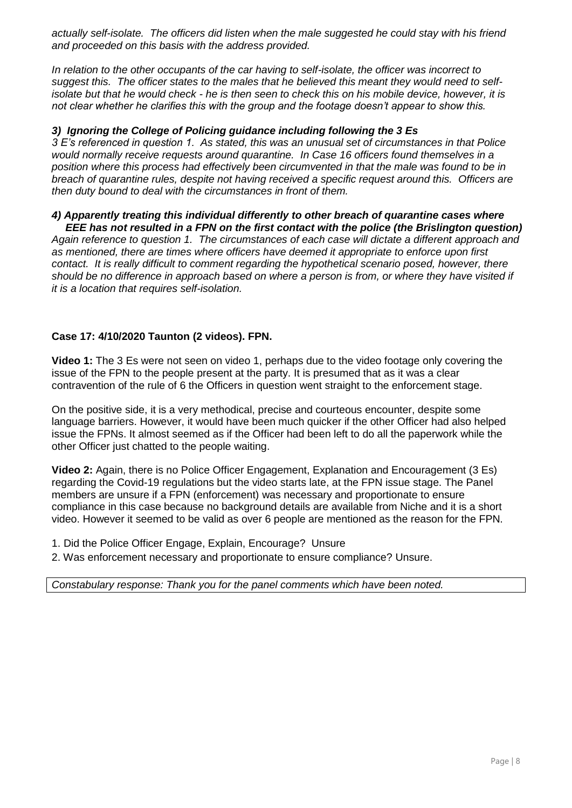*actually self-isolate. The officers did listen when the male suggested he could stay with his friend and proceeded on this basis with the address provided.*

*In relation to the other occupants of the car having to self-isolate, the officer was incorrect to suggest this. The officer states to the males that he believed this meant they would need to selfisolate but that he would check - he is then seen to check this on his mobile device, however, it is not clear whether he clarifies this with the group and the footage doesn't appear to show this.*

# *3) Ignoring the College of Policing guidance including following the 3 Es*

*3 E's referenced in question 1. As stated, this was an unusual set of circumstances in that Police would normally receive requests around quarantine. In Case 16 officers found themselves in a position where this process had effectively been circumvented in that the male was found to be in breach of quarantine rules, despite not having received a specific request around this. Officers are then duty bound to deal with the circumstances in front of them.*

#### *4) Apparently treating this individual differently to other breach of quarantine cases where EEE has not resulted in a FPN on the first contact with the police (the Brislington question)*

*Again reference to question 1. The circumstances of each case will dictate a different approach and as mentioned, there are times where officers have deemed it appropriate to enforce upon first contact. It is really difficult to comment regarding the hypothetical scenario posed, however, there should be no difference in approach based on where a person is from, or where they have visited if it is a location that requires self-isolation.*

# **Case 17: 4/10/2020 Taunton (2 videos). FPN.**

**Video 1:** The 3 Es were not seen on video 1, perhaps due to the video footage only covering the issue of the FPN to the people present at the party. It is presumed that as it was a clear contravention of the rule of 6 the Officers in question went straight to the enforcement stage.

On the positive side, it is a very methodical, precise and courteous encounter, despite some language barriers. However, it would have been much quicker if the other Officer had also helped issue the FPNs. It almost seemed as if the Officer had been left to do all the paperwork while the other Officer just chatted to the people waiting.

**Video 2:** Again, there is no Police Officer Engagement, Explanation and Encouragement (3 Es) regarding the Covid-19 regulations but the video starts late, at the FPN issue stage. The Panel members are unsure if a FPN (enforcement) was necessary and proportionate to ensure compliance in this case because no background details are available from Niche and it is a short video. However it seemed to be valid as over 6 people are mentioned as the reason for the FPN.

- 1. Did the Police Officer Engage, Explain, Encourage? Unsure
- 2. Was enforcement necessary and proportionate to ensure compliance? Unsure.

*Constabulary response: Thank you for the panel comments which have been noted.*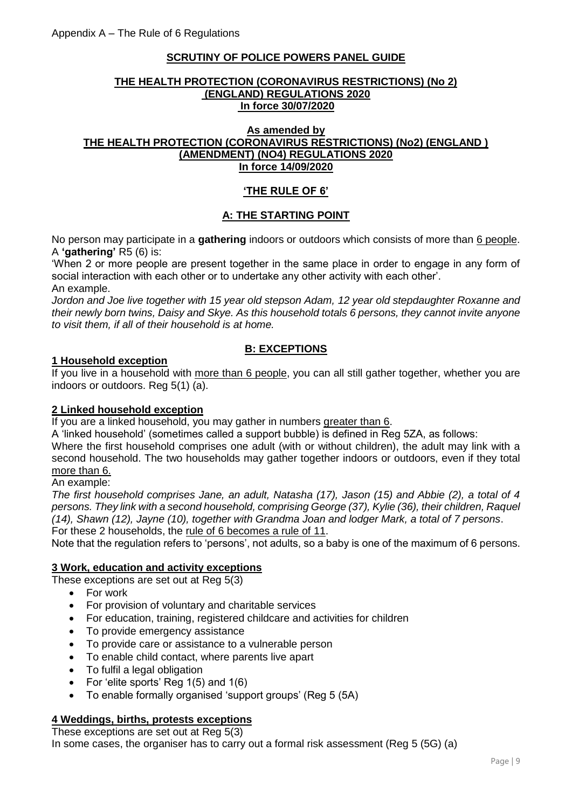# **SCRUTINY OF POLICE POWERS PANEL GUIDE**

### **THE HEALTH PROTECTION (CORONAVIRUS RESTRICTIONS) (No 2) (ENGLAND) REGULATIONS 2020 In force 30/07/2020**

## **As amended by THE HEALTH PROTECTION (CORONAVIRUS RESTRICTIONS) (No2) (ENGLAND ) (AMENDMENT) (NO4) REGULATIONS 2020 In force 14/09/2020**

# **'THE RULE OF 6'**

# **A: THE STARTING POINT**

No person may participate in a **gathering** indoors or outdoors which consists of more than 6 people. A **'gathering'** R5 (6) is:

'When 2 or more people are present together in the same place in order to engage in any form of social interaction with each other or to undertake any other activity with each other'. An example.

*Jordon and Joe live together with 15 year old stepson Adam, 12 year old stepdaughter Roxanne and their newly born twins, Daisy and Skye. As this household totals 6 persons, they cannot invite anyone to visit them, if all of their household is at home.*

# **B: EXCEPTIONS**

# **1 Household exception**

If you live in a household with more than 6 people, you can all still gather together, whether you are indoors or outdoors. Reg 5(1) (a).

# **2 Linked household exception**

If you are a linked household, you may gather in numbers greater than 6.

A 'linked household' (sometimes called a support bubble) is defined in Reg 5ZA, as follows:

Where the first household comprises one adult (with or without children), the adult may link with a second household. The two households may gather together indoors or outdoors, even if they total more than 6.

### An example:

*The first household comprises Jane, an adult, Natasha (17), Jason (15) and Abbie (2), a total of 4 persons. They link with a second household, comprising George (37), Kylie (36), their children, Raquel (14), Shawn (12), Jayne (10), together with Grandma Joan and lodger Mark, a total of 7 persons*. For these 2 households, the rule of 6 becomes a rule of 11.

Note that the regulation refers to 'persons', not adults, so a baby is one of the maximum of 6 persons.

# **3 Work, education and activity exceptions**

These exceptions are set out at Reg 5(3)

- For work
- For provision of voluntary and charitable services
- For education, training, registered childcare and activities for children
- To provide emergency assistance
- To provide care or assistance to a vulnerable person
- To enable child contact, where parents live apart
- To fulfil a legal obligation
- For 'elite sports' Reg 1(5) and 1(6)
- To enable formally organised 'support groups' (Reg 5 (5A)

#### **4 Weddings, births, protests exceptions**

These exceptions are set out at Reg 5(3)

In some cases, the organiser has to carry out a formal risk assessment (Reg 5 (5G) (a)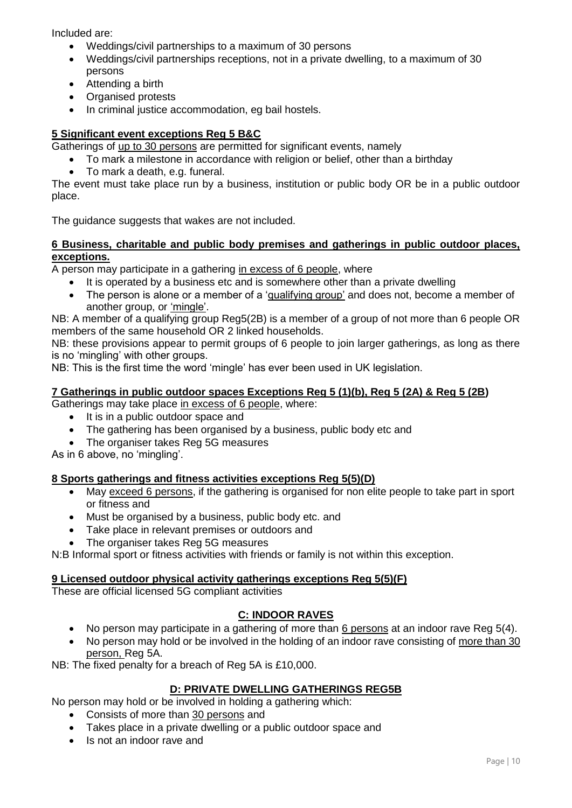Included are:

- Weddings/civil partnerships to a maximum of 30 persons
- Weddings/civil partnerships receptions, not in a private dwelling, to a maximum of 30 persons
- Attending a birth
- Organised protests
- In criminal justice accommodation, eg bail hostels.

# **5 Significant event exceptions Reg 5 B&C**

Gatherings of up to 30 persons are permitted for significant events, namely

- To mark a milestone in accordance with religion or belief, other than a birthday
- To mark a death, e.g. funeral.

The event must take place run by a business, institution or public body OR be in a public outdoor place.

The guidance suggests that wakes are not included.

## **6 Business, charitable and public body premises and gatherings in public outdoor places, exceptions.**

A person may participate in a gathering in excess of 6 people, where

- It is operated by a business etc and is somewhere other than a private dwelling
- The person is alone or a member of a 'qualifying group' and does not, become a member of another group, or 'mingle'.

NB: A member of a qualifying group Reg5(2B) is a member of a group of not more than 6 people OR members of the same household OR 2 linked households.

NB: these provisions appear to permit groups of 6 people to join larger gatherings, as long as there is no 'mingling' with other groups.

NB: This is the first time the word 'mingle' has ever been used in UK legislation.

### **7 Gatherings in public outdoor spaces Exceptions Reg 5 (1)(b), Reg 5 (2A) & Reg 5 (2B)**

Gatherings may take place in excess of 6 people, where:

- It is in a public outdoor space and
- The gathering has been organised by a business, public body etc and
- The organiser takes Reg 5G measures

As in 6 above, no 'mingling'.

# **8 Sports gatherings and fitness activities exceptions Reg 5(5)(D)**

- May exceed 6 persons, if the gathering is organised for non elite people to take part in sport or fitness and
- Must be organised by a business, public body etc. and
- Take place in relevant premises or outdoors and
- The organiser takes Reg 5G measures

N:B Informal sport or fitness activities with friends or family is not within this exception.

#### **9 Licensed outdoor physical activity gatherings exceptions Reg 5(5)(F)**

These are official licensed 5G compliant activities

# **C: INDOOR RAVES**

- No person may participate in a gathering of more than 6 persons at an indoor rave Reg 5(4).
- No person may hold or be involved in the holding of an indoor rave consisting of more than 30 person, Reg 5A.

NB: The fixed penalty for a breach of Reg 5A is £10,000.

#### **D: PRIVATE DWELLING GATHERINGS REG5B**

No person may hold or be involved in holding a gathering which:

- Consists of more than 30 persons and
- Takes place in a private dwelling or a public outdoor space and
- Is not an indoor rave and